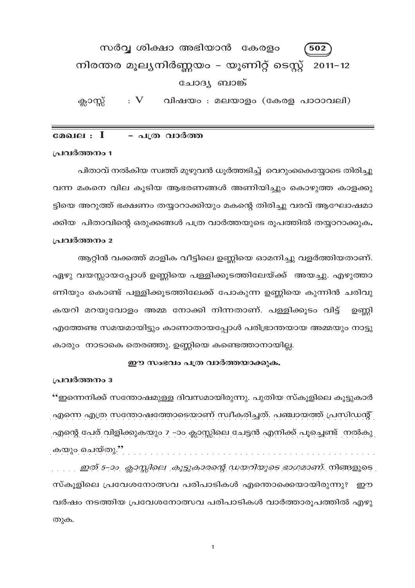#### സർവ്വ ശിക്ഷാ അഭിയാൻ കേരളം 502 നിരന്തര മൂല്യനിർണ്ണയം – യൂണിറ്റ് ടെസ്റ്റ് 2011–12 ചോദ്യ ബാങ്ക്  $:V$ വിഷയം : മലയാളം (കേരള പാഠാവലി) ക്ലാസ്സ്

മേഖല $\,:\, \, I$ - പത്ര വാർത്ത

#### പ്രവർത്തനം 1

പിതാവ് നൽകിയ സ്വത്ത് മുഴുവൻ ധൂർത്തടിച്ച് വെറുംകൈയ്യോടെ തിരിച്ചു വന്ന മകനെ വില കൂടിയ ആഭരണങ്ങൾ അണിയിച്ചും കൊഴുത്ത കാളക്കു ട്ടിയെ അറുത്ത് ഭക്ഷണം തയ്യാറാക്കിയും മകന്റെ തിരിച്ചു വരവ് ആഘോഷമാ ക്കിയ പിതാവിന്റെ ഒരുക്കങ്ങൾ പത്ര വാർത്തയുടെ രൂപത്തിൽ തയ്യാറാക്കുക. പ്രവർത്തനം 2

ആറ്റിൻ വക്കത്ത് മാളിക വീട്ടിലെ ഉണ്ണിയെ ഓമനിച്ചു വളർത്തിയതാണ്. ഏഴു വയസ്സായപ്പോൾ ഉണ്ണിയെ പള്ളിക്കൂടത്തിലേയ്ക്ക് അയച്ചു. എഴുത്താ ണിയും കൊണ്ട് പള്ളിക്കൂടത്തിലേക്ക് പോകുന്ന ഉണ്ണിയെ കുന്നിൻ ചരിവു കയറി മറയുവോളം അമ്മ നോക്കി നിന്നതാണ്. പള്ളിക്കൂടം വിട്ട് ഉണ്ണി എത്തേണ്ട സമയമായിട്ടും കാണാതായപ്പോൾ പരിഭ്രാന്തയായ അമ്മയും നാട്ടു കാരും നാടാകെ തെരഞ്ഞു. ഉണ്ണിയെ കണ്ടെത്താനായില്ല.

# ഈ സംഭവം പത്ര വാർത്തയാക്കുക.

പ്രവർത്തനം 3

"ഇന്നെനിക്ക് സന്തോഷമുള്ള ദിവസമായിരുന്നു. പുതിയ സ്കൂളിലെ കൂട്ടുകാർ എന്നെ എത്ര സന്തോഷത്തോടെയാണ് സ്വീകരിച്ചത്. പഞ്ചായത്ത് പ്രസിഡന്റ് എന്റെ പേര് വിളിക്കുകയും 7 –ാം ക്ലാസ്സിലെ ചേട്ടൻ എനിക്ക് പൂച്ചെണ്ട് നൽകു കയും ചെയ്തു.''

സ്കൂളിലെ പ്രവേശനോത്സവ പരിപാടികൾ എന്തൊക്കെയായിരുന്നു? ഈ വർഷം നടത്തിയ പ്രവേശനോത്സവ പരിപാടികൾ വാർത്താരുപത്തിൽ എഴു തുക.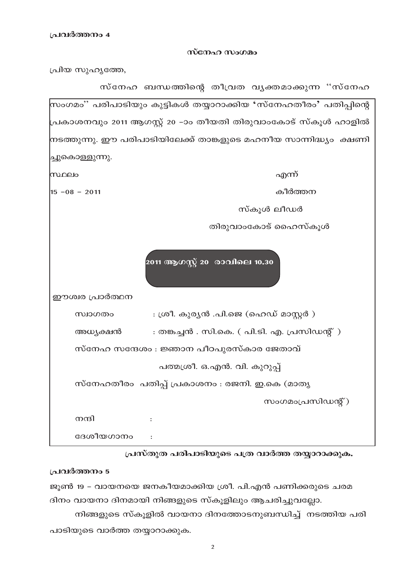#### സ്നേഹ സംഗമം

പ്രിയ സുഹൃത്തേ,



പ്രസ്തുത പരിപാടിയുടെ പത്ര വാർത്ത തയ്യാറാക്കുക.

# പ്രവർത്തനം 5

ജൂൺ 19 - വായനയെ ജനകീയമാക്കിയ ശ്രീ. പി.എൻ പണിക്കരുടെ ചരമ ദിനം വായനാ ദിനമായി നിങ്ങളുടെ സ്കൂളിലും ആചരിച്ചുവല്ലോ.

നിങ്ങളുടെ സ്കൂളിൽ വായനാ ദിനത്തോടനുബന്ധിച്ച് നടത്തിയ പരി പാടിയുടെ വാർത്ത തയ്യാറാക്കുക.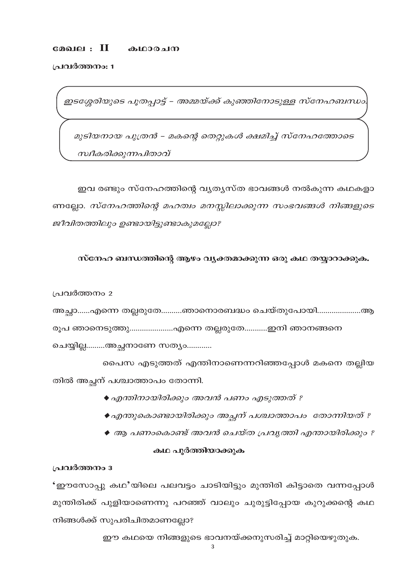#### മേഖല $:$   $\rm II$ കഥാരചന

പ്രവർത്തനം: 1

ഇടശ്ശേരിയുടെ പൂതപ്പാട്ട് – അമ്മയ്ക്ക് കുഞ്ഞിനോടുള്ള സ്നേഹബന്ധം

മുടിയനായ പുത്രൻ – മകന്റെ തെറ്റുകൾ ക്ഷമിച്ച് സ്നേഹത്തോടെ സ്വീകരിക്കുന്നപിതാവ്

ഇവ രണ്ടും സ്നേഹത്തിന്റെ വൃതൃസ്ത ഭാവങ്ങൾ നൽകുന്ന കഥകളാ ണല്ലോ. സ്നേഹത്തിന്റെ മഹത്വം മനസ്സിലാക്കുന്ന സംഭവങ്ങൾ നിങ്ങളുടെ ജീവിതത്തിലും ഉണ്ടായിട്ടുണ്ടാകുമല്ലോ?

# സ്നേഹ ബന്ധത്തിന്റെ ആഴം വ്യക്തമാക്കുന്ന ഒരു കഥ തയ്യാറാക്കുക.

പ്രവർത്തനം 2

അച്ഛാ......എന്നെ തല്ലരുതേ..........ഞാനൊരബദ്ധം ചെയ്തുപോയി.....................ആ രൂപ ഞാനെടുത്തു....................എന്നെ തല്ലരുതേ............ഇനി ഞാനങ്ങനെ

ചെയ്യില്ല.........അച്ഛനാണേ സത്യം............

പൈസ എടുത്തത് എന്തിനാണെന്നറിഞ്ഞപ്പോൾ മകനെ തല്ലിയ തിൽ അച്ഛന് പശ്ചാത്താപം തോന്നി.

- ◆ എന്തിനായിരിക്കും അവൻ പണം എടുത്തത് ?
- ◆എന്തുകൊണ്ടായിരിക്കും അച്ഛന് പശ്ചാത്താപം തോന്നിയത് ?
- ♦ ആ പണംകൊണ്ട് അവൻ ചെയ്ത പ്രവൃത്തി എന്തായിരിക്കും ?

# കഥ പൂർത്തിയാക്കുക

#### പ്രവർത്തനം 3

'ഈസോപ്പു കഥ'യിലെ പലവട്ടം ചാടിയിട്ടും മുന്തിരി കിട്ടാതെ വന്നപ്പോൾ മുന്തിരിക്ക് പുളിയാണെന്നു പറഞ്ഞ് വാലും ചുരുട്ടിപ്പോയ കുറുക്കന്റെ കഥ നിങ്ങൾക്ക് സുപരിചിതമാണല്ലോ?

ഈ കഥയെ നിങ്ങളുടെ ഭാവനയ്ക്കനുസരിച്ച് മാറ്റിയെഴുതുക.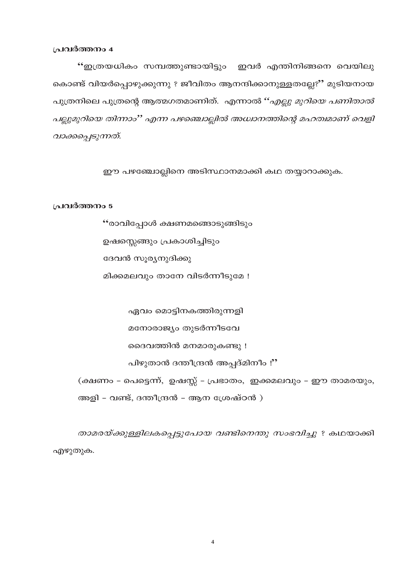"ഇത്രയധികം സമ്പത്തുണ്ടായിട്ടും ഇവർ എന്തിനിങ്ങനെ വെയിലു കൊണ്ട് വിയർപ്പൊഴുക്കുന്നു ? ജീവിതം ആനന്ദിക്കാനുള്ളതല്ലേ?" മുടിയനായ പുത്രനിലെ പുത്രന്റെ ആത്മഗതമാണിത്. എന്നാൽ "*എല്ലു മുറിയെ പണിതാൽ* പല്ലുമുറിയെ തിന്നാം'' എന്ന പഴഞ്ചൊല്ലിൽ അധ്വാനത്തിന്റെ മഹത്വമാണ് വെളി വാക്കപ്പെടുന്നത്.

ഈ പഴഞ്ചോല്ലിനെ അടിസ്ഥാനമാക്കി കഥ തയ്യാറാക്കുക.

#### പ്രവർത്തനം 5

"രാവിപ്പോൾ ക്ഷണമങ്ങൊടുങ്ങിടും ഉഷസ്സെങ്ങും പ്രകാശിച്ചിടും ദേവൻ സൂര്യനുദിക്കു മിക്കമലവും താനേ വിടർന്നീടുമേ !

ഏവം മൊട്ടിനകത്തിരുന്നളി

മനോരാജ്യം തുടർന്നീടവേ

ദൈവത്തിൻ മനമാരുകണ്ടു !

പിഴുതാൻ ദന്തീന്ദ്രൻ അപ്പദ്മിനീം !"

(ക്ഷണം - പെട്ടെന്ന്, ഉഷസ്സ് - പ്രഭാതം, ഇക്കമലവും - ഈ താമരയും, അളി - വണ്ട്, ദന്തീന്ദ്രൻ - ആന ശ്രേഷ്ഠൻ )

താമരയ്ക്കുള്ളിലകപ്പെട്ടുപോയ വണ്ടിനെന്തു സംഭവിച്ചു ? കഥയാക്കി എഴുതുക.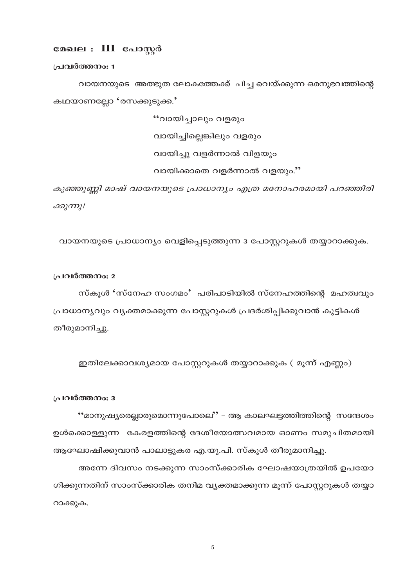# മേഖല : III പോസ്റ്റർ

പ്രവർത്തനം: 1

വായനയുടെ അത്ഭുത ലോകത്തേക്ക് പിച്ച വെയ്ക്കുന്ന ഒരനുഭവത്തിന്റെ കഥയാണല്ലോ 'രസക്കുടുക്ക.'

> "വായിചാലും വളരും വായിച്ചില്ലെങ്കിലും വളരും വായിച്ചു വളർന്നാൽ വിളയും വായിക്കാതെ വളർന്നാൽ വളയും."

കുഞ്ഞുണ്ണി മാഷ് വായനയുടെ പ്രാധാന്യം എത്ര മനോഹരമായി പറഞ്ഞിരി ക്കുന്നു!

വായനയുടെ പ്രാധാന്യം വെളിപ്പെടുത്തുന്ന 3 പോസ്റ്ററുകൾ തയ്യാറാക്കുക.

#### പ്രവർത്തനം: 2

സ്കൂൾ 'സ്നേഹ സംഗമം' പരിപാടിയിൽ സ്നേഹത്തിന്റെ മഹത്വവും പ്രാധാന്യവും വ്യക്തമാക്കുന്ന പോസ്റ്ററുകൾ പ്രദർശിപ്പിക്കുവാൻ കുട്ടികൾ തീരുമാനിച്ചു.

ഇതിലേക്കാവശ്യമായ പോസ്റ്ററുകൾ തയ്യാറാക്കുക ( മൂന്ന് എണ്ണം)

#### പ്രവർത്തനം: 3

"മാനുഷ്യരെല്ലാരുമൊന്നുപോലെ" – ആ കാലഘട്ടത്തിത്തിന്റെ സന്ദേശം ഉൾക്കൊള്ളുന്ന കേരളത്തിന്റെ ദേശീയോത്സവമായ ഓണം സമുചിതമായി ആഘോഷിക്കുവാൻ പാലാട്ടുകര എ.യു.പി. സ്കൂൾ തീരുമാനിച്ചു.

അന്നേ ദിവസം നടക്കുന്ന സാംസ്ക്കാരിക ഘോഷയാത്രയിൽ ഉപയോ ഗിക്കുന്നതിന് സാംസ്ക്കാരിക തനിമ വ്യക്തമാക്കുന്ന മൂന്ന് പോസ്റ്ററുകൾ തയ്യാ റാക്കുക.

 $\overline{5}$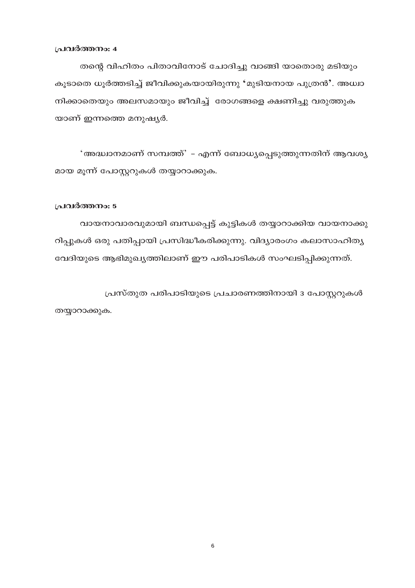തന്റെ വിഹിതം പിതാവിനോട് ചോദിച്ചു വാങ്ങി യാതൊരു മടിയും കൂടാതെ ധൂർത്തടിച്ച് ജീവിക്കുകയായിരുന്നു 'മുടിയനായ പുത്രൻ'. അധ്വാ നിക്കാതെയും അലസമായും ജീവിച്ച് രോഗങ്ങളെ ക്ഷണിച്ചു വരുത്തുക യാണ് ഇന്നത്തെ മനുഷ്യർ.

'അദ്ധ്വാനമാണ് സമ്പത്ത്' – എന്ന് ബോധ്യപ്പെടുത്തുന്നതിന് ആവശ്യ മായ മൂന്ന് പോസ്റ്ററുകൾ തയ്യാറാക്കുക.

#### പ്രവർത്തനം: 5

വായനാവാരവുമായി ബന്ധപ്പെട്ട് കുട്ടികൾ തയ്യാറാക്കിയ വായനാക്കു റിപ്പുകൾ ഒരു പതിപ്പായി പ്രസിദ്ധീകരിക്കുന്നു. വിദ്യാരംഗം കലാസാഹിത്യ വേദിയുടെ ആഭിമുഖ്യത്തിലാണ് ഈ പരിപാടികൾ സംഘടിപ്പിക്കുന്നത്.

പ്രസ്തുത പരിപാടിയുടെ പ്രചാരണത്തിനായി 3 പോസ്റ്ററുകൾ തയ്യാറാക്കുക.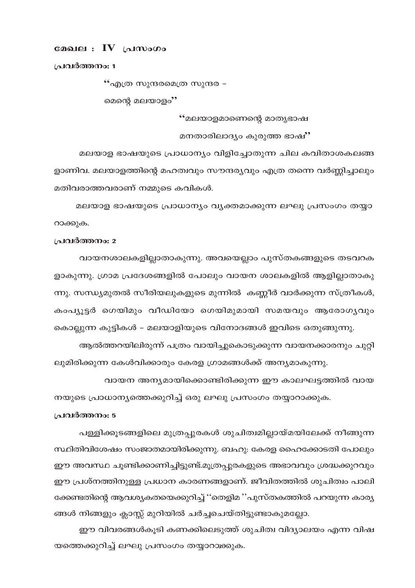# മേഖല $\mathbf{N}$  പ്രസംഗം

പ്രവർത്തനം: 1

"എത്ര സുന്ദരമെത്ര സുന്ദര –

മെന്റെ മലയാളം''

"മലയാളമാണെന്റെ മാതൃഭാഷ

മനതാരിലാദ്യം കുരുത്ത ഭാഷ്''

മലയാള ഭാഷയുടെ പ്രാധാന്യം വിളിച്ചോതുന്ന ചില കവിതാശകലങ്ങ ളാണിവ. മലയാളത്തിന്റെ മഹത്വവും സൗന്ദര്യവും എത്ര തന്നെ വർണ്ണിച്ചാലും മതിവരാത്തവരാണ് നമ്മുടെ കവികൾ.

മലയാള ഭാഷയുടെ പ്രാധാന്യം വ്യക്തമാക്കുന്ന ലഘു പ്രസംഗം തയ്യാ റാക്കുക.

#### പ്രവർത്തനം: 2

വായനശാലകളില്ലാതാകുന്നു. അവയെല്ലാം പുസ്തകങ്ങളുടെ തടവറക ളാകുന്നു. ഗ്രാമ പ്രദേശങ്ങളിൽ പോലും വായന ശാലകളിൽ ആളില്ലാതാകു ന്നു. സന്ധ്യമുതൽ സീരിയലുകളുടെ മുന്നിൽ കണ്ണീർ വാർക്കുന്ന സ്ത്രീകൾ, കംപ്യൂട്ടർ ഗെയിമും വീഡിയോ ഗെയിമുമായി സമയവും ആരോഗൃവും കൊല്ലുന്ന കുട്ടികൾ – മലയാളിയുടെ വിനോദങ്ങൾ ഇവിടെ ഒതുങ്ങുന്നു. ആൽത്തറയിലിരുന്ന് പത്രം വായിച്ചുകൊടുക്കുന്ന വായനക്കാരനും ചുറ്റി

ലുമിരിക്കുന്ന കേൾവിക്കാരും കേരള ഗ്രാമങ്ങൾക്ക് അന്യമാകുന്നു.

വായന അന്യമായിക്കൊണ്ടിരിക്കുന്ന ഈ കാലഘട്ടത്തിൽ വായ നയുടെ പ്രാധാന്യത്തെക്കുറിച്ച് ഒരു ലഘു പ്രസംഗം തയ്യാറാക്കുക.

### പ്രവർത്തനം: 5

പള്ളിക്കൂടങ്ങളിലെ മുത്രപ്പുരകൾ ശുചിത്വമില്ലായ്മയിലേക്ക് നീങ്ങുന്ന സ്ഥിതിവിശേഷം സംജാതമായിരിക്കുന്നു. ബഹു: കേരള ഹൈക്കോടതി പോലും ഈ അവസ്ഥ ചൂണ്ടിക്കാണിച്ചിട്ടുണ്ട്.മൂത്രപ്പുരകളുടെ അഭാവവും ശ്രദ്ധക്കുറവും ഈ പ്രശ്നത്തിനുള്ള പ്രധാന കാരണങ്ങളാണ്. ജീവിതത്തിൽ ശുചിത്വം പാലി ക്കേണ്ടതിന്റെ ആവശ്യകതയെക്കുറിച്ച് ''തെളിമ ''പുസ്തകത്തിൽ പറയുന്ന കാര്യ ങ്ങൾ നിങ്ങളും ക്ലാസ്സ് മുറിയിൽ ചർച്ചചെയ്തിട്ടുണ്ടാകുമല്ലോ.

ഈ വിവരങ്ങൾകൂടി കണക്കിലെടുത്ത് ശുചിത്വ വിദ്യാലയം എന്ന വിഷ യത്തെക്കുറിച്ച് ലഘു പ്രസംഗം തയ്യാറാക്കുക.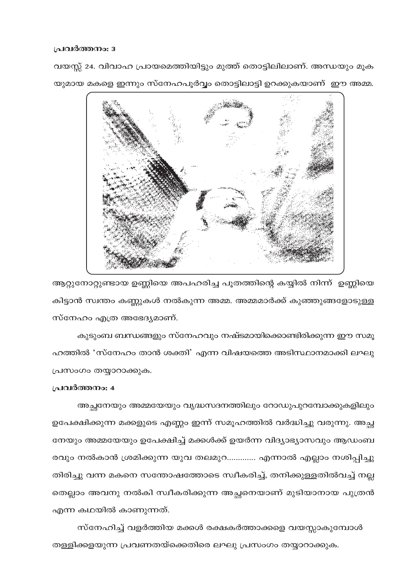വയസ്സ് 24. വിവാഹ പ്രായമെത്തിയിട്ടും മുത്ത് തൊട്ടിലിലാണ്. അന്ധയും മൂക യുമായ മകളെ ഇന്നും സ്നേഹപൂർവ്വം തൊട്ടിലാട്ടി ഉറക്കുകയാണ് ഈ അമ്മ.



ആറ്റുനോറ്റുണ്ടായ ഉണ്ണിയെ അപഹരിച്ച പൂതത്തിന്റെ കയ്യിൽ നിന്ന് ഉണ്ണിയെ കിട്ടാൻ സ്വന്തം കണ്ണുകൾ നൽകുന്ന അമ്മ. അമ്മമാർക്ക് കുഞ്ഞുങ്ങളോടുള്ള സ്നേഹം എത്ര അഭേദ്യമാണ്.

കുടുംബ ബന്ധങ്ങളും സ്നേഹവും നഷ്ടമായിക്കൊണ്ടിരിക്കുന്ന ഈ സമൂ ഹത്തിൽ 'സ്നേഹം താൻ ശക്തി' എന്ന വിഷയത്തെ അടിസ്ഥാനമാക്കി ലഘു പ്രസംഗം തയ്യാറാക്കുക.

# പ്രവർത്തനം: 4

അച്ഛനേയും അമ്മയേയും വൃദ്ധസദനത്തിലും റോഡുപുറമ്പോക്കുകളിലും ഉപേക്ഷിക്കുന്ന മക്കളുടെ എണ്ണം ഇന്ന് സമൂഹത്തിൽ വർദ്ധിച്ചു വരുന്നു. അച്ഛ നേയും അമ്മയേയും ഉപേക്ഷിച്ച് മക്കൾക്ക് ഉയർന്ന വിദ്യാഭ്യാസവും ആഡംബ രവും നൽകാൻ ശ്രമിക്കുന്ന യുവ തലമുറ............. എന്നാൽ എല്ലാം നശിപ്പിച്ചു തിരിച്ചു വന്ന മകനെ സന്തോഷത്തോടെ സ്വീകരിച്ച്, തനിക്കുള്ളതിൽവച്ച് നല്ല തെല്ലാം അവനു നൽകി സ്വീകരിക്കുന്ന അച്ഛനെയാണ് മുടിയാനായ പുത്രൻ എന്ന കഥയിൽ കാണുന്നത്.

സ്നേഹിച്ച് വളർത്തിയ മക്കൾ രക്ഷകർത്താക്കളെ വയസ്സാകുമ്പോൾ തള്ളിക്കളയുന്ന പ്രവണതയ്ക്കെതിരെ ലഘു പ്രസംഗം തയ്യാറാക്കുക.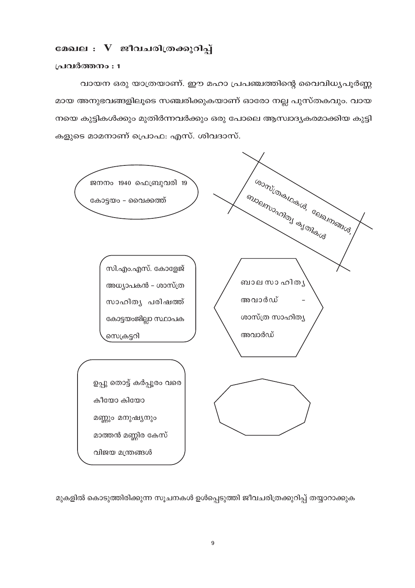# മേഖല : V ജീവചരിത്രക്കുറിപ്പ്

#### പ്രവർത്തനം : 1

വായന ഒരു യാത്രയാണ്. ഈ മഹാ പ്രപഞ്ചത്തിന്റെ വൈവിധ്യപൂർണ്ണ മായ അനുഭവങ്ങളിലൂടെ സഞ്ചരിക്കുകയാണ് ഓരോ നല്ല പുസ്തകവും. വായ നയെ കുട്ടികൾക്കും മുതിർന്നവർക്കും ഒരു പോലെ ആസ്ഥദൃകരമാക്കിയ കുട്ടി കളുടെ മാമനാണ് പ്രൊഫ: എസ്. ശിവദാസ്.



മുകളിൽ കൊടുത്തിരിക്കുന്ന സൂചനകൾ ഉൾപ്പെടുത്തി ജീവചരിത്രക്കുറിപ്പ് തയ്യാറാക്കുക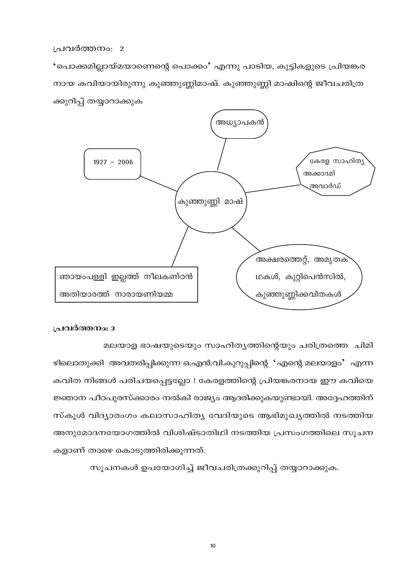'പൊക്കമില്ലായ്മയാണെന്റെ പൊക്കം' എന്നു പാടിയ, കുട്ടികളുടെ പ്രിയങ്കര നായ കവിയായിരുന്നു കുഞ്ഞുണ്ണിമാഷ്. കുഞ്ഞുണ്ണി മാഷിന്റെ ജീവചരിത്ര ക്കുറിപ്പ് തയ്യാറാക്കുക



# പ്രവർത്തനം: 3

മലയാള ഭാഷയുടെയും സാഹിത്യത്തിന്റെയും ചരിത്രത്തെ ചിമി

ഴിലൊതുക്കി അവതരിപ്പിക്കുന്ന ഒ.എൻ.വി.കുറുപ്പിന്റെ 'എന്റെ മലയാളം' എന്ന കവിത നിങ്ങൾ പരിചയപ്പെട്ടല്ലോ ! കേരളത്തിന്റെ പ്രിയങ്കരനായ ഈ കവിയെ ജ്ഞാന പീഠപുരസ്ക്കാരം നൽകി രാജ്യം ആദരിക്കുകയുണ്ടായി. അദ്ദേഹത്തിന് സ്കൂൾ വിദ്യാരംഗം കലാസാഹിത്യ വേദിയുടെ ആഭിമുഖ്യത്തിൽ നടത്തിയ അനുമോദനയോഗത്തിൽ വിശിഷ്ടാതിഥി നടത്തിയ പ്രസംഗത്തിലെ സൂചന കളാണ് താഴെ കൊടുത്തിരിക്കുന്നത്.

സൂചനകൾ ഉപയോഗിച്ച് ജീവചരിത്രക്കുറിപ്പ് തയ്യാറാക്കുക.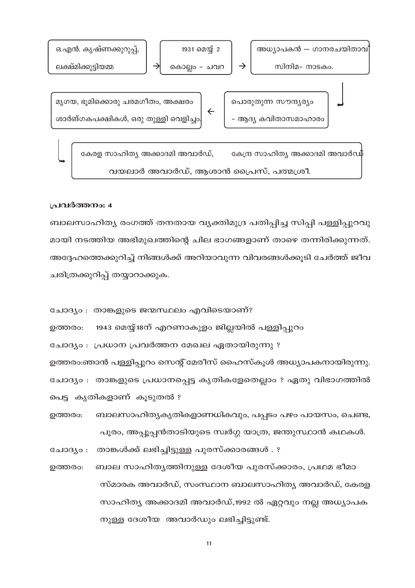

ബാലസാഹിത്യ രംഗത്ത് തനതായ വ്യക്തിമുദ്ര പതിപ്പിച്ച സിപ്പി പള്ളിപ്പുറവു മായി നടത്തിയ അഭിമുഖത്തിന്റെ ചില ഭാഗങ്ങളാണ് താഴെ തന്നിരിക്കുന്നത്. അദ്ദേഹത്തെക്കുറിച്ച് നിങ്ങൾക്ക് അറിയാവുന്ന വിവരങ്ങൾക്കൂടി ചേർത്ത് ജീവ ചരിത്രക്കുറിപ്പ് തയ്യാറാക്കുക.

- ചോദ്യം : താങ്കളുടെ ജന്മസ്ഥലം എവിടെയാണ്?
- 1943 മെയ്യ്18ന് എറണാകുളം ജില്ലയിൽ പള്ളിപ്പുറം ഉത്തരം:

ചോദ്യം : പ്രധാന പ്രവർത്തന മേഖല ഏതായിരുന്നു ?

ഉത്തരം:ഞാൻ പള്ളിപ്പുറം സെന്റ് മേരീസ് ഹൈസ്കൂൾ അധ്യാപകനായിരുന്നു. ചോദ്യം : താങ്കളുടെ പ്രധാനപ്പെട്ട കൃതികളേതെല്ലാം ? ഏതു വിഭാഗത്തിൽ പെട്ട കൃതികളാണ് കൂടുതൽ ?

- ബാലസാഹിത്യകൃതികളാണധികവും, പപ്പടം പഴം പായസം, ചെണ്ട, ഉത്തരം: പൂരം, അപ്പൂപ്പൻതാടിയുടെ സ്വർഗ്ഗ യാത്ര, ജന്തുസ്ഥാൻ കഥകൾ.
- ചോദ്യം : താങ്കൾക്ക് ലഭിച്ചിട്ടുള്ള പുരസ്ക്കാരങ്ങൾ . ?
- ബാല സാഹിതൃത്തിനുള്ള ദേശീയ പുരസ്ക്കാരം, പ്രഥമ ഭീമാ ഉത്തരം: സ്മാരക അവാർഡ്, സംസ്ഥാന ബാലസാഹിത്യ അവാർഡ്, കേരള സാഹിത്യ അക്കാദമി അവാർഡ്,1992 ൽ ഏറ്റവും നല്ല അധ്യാപക നുള്ള ദേശീയ അവാർഡും ലഭിച്ചിട്ടുണ്ട്.